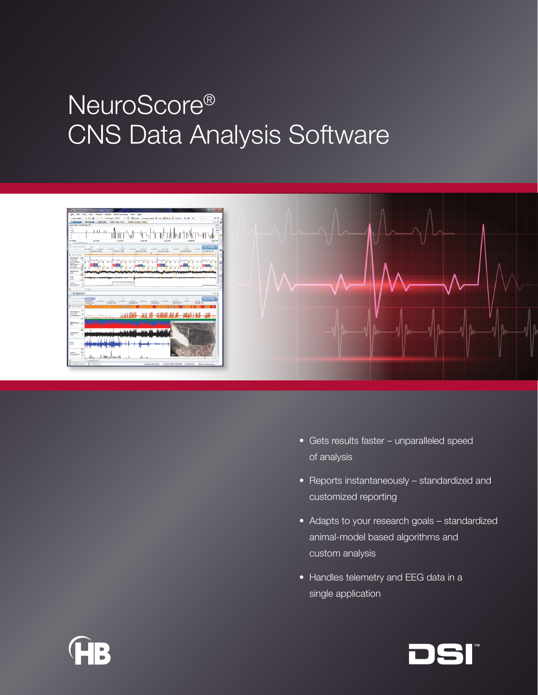# NeuroScore® CNS Data Analysis Software





- Gets results faster unparalleled speed of analysis
- Reports instantaneously standardized and customized reporting
- Adapts to your research goals standardized animal-model based algorithms and custom analysis
- Handles telemetry and EEG data in a single application



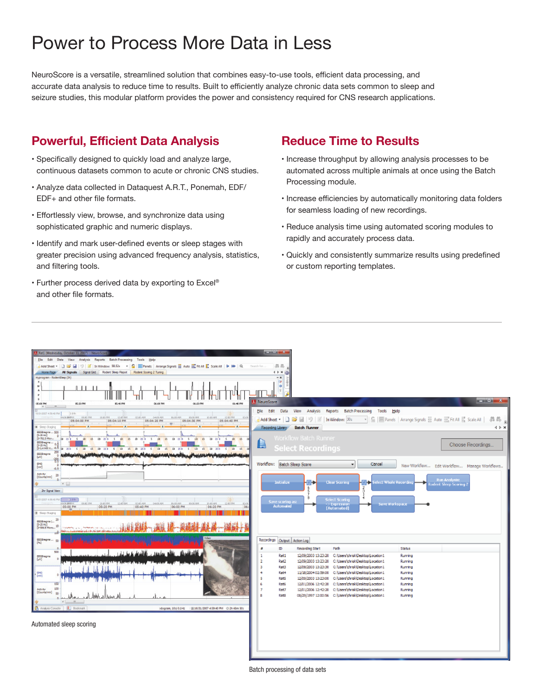## Power to Process More Data in Less

NeuroScore is a versatile, streamlined solution that combines easy-to-use tools, efficient data processing, and accurate data analysis to reduce time to results. Built to efficiently analyze chronic data sets common to sleep and seizure studies, this modular platform provides the power and consistency required for CNS research applications.

## **Powerful, Efficient Data Analysis**

- Specifically designed to quickly load and analyze large, continuous datasets common to acute or chronic CNS studies.
- Analyze data collected in Dataquest A.R.T., Ponemah, EDF/ EDF+ and other file formats.
- Effortlessly view, browse, and synchronize data using sophisticated graphic and numeric displays.
- Identify and mark user-defined events or sleep stages with greater precision using advanced frequency analysis, statistics, and filtering tools.
- Further process derived data by exporting to Excel® and other file formats.

## **Reduce Time to Results**

- Increase throughput by allowing analysis processes to be automated across multiple animals at once using the Batch Processing module.
- Increase efficiencies by automatically monitoring data folders for seamless loading of new recordings.
- Reduce analysis time using automated scoring modules to rapidly and accurately process data.
- Quickly and consistently summarize results using predefined or custom reporting templates.



Batch processing of data sets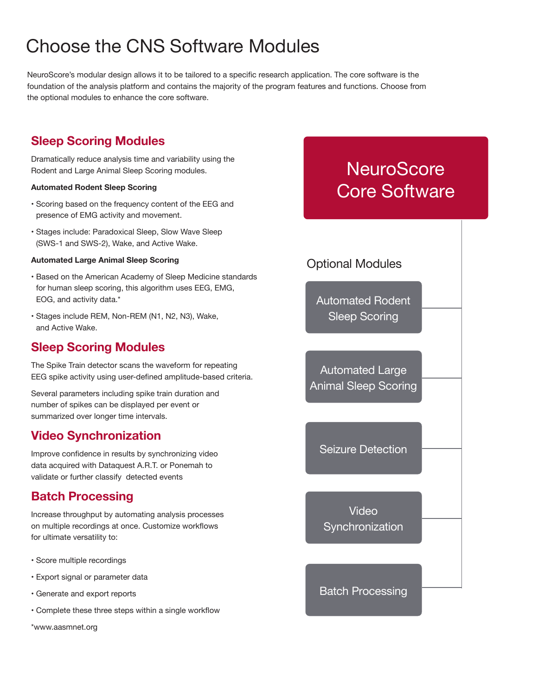## Choose the CNS Software Modules

NeuroScore's modular design allows it to be tailored to a specific research application. The core software is the foundation of the analysis platform and contains the majority of the program features and functions. Choose from the optional modules to enhance the core software.

## **Sleep Scoring Modules**

Dramatically reduce analysis time and variability using the Rodent and Large Animal Sleep Scoring modules.

#### **Automated Rodent Sleep Scoring**

- Scoring based on the frequency content of the EEG and presence of EMG activity and movement.
- Stages include: Paradoxical Sleep, Slow Wave Sleep (SWS-1 and SWS-2), Wake, and Active Wake.

#### **Automated Large Animal Sleep Scoring**

- Based on the American Academy of Sleep Medicine standards for human sleep scoring, this algorithm uses EEG, EMG, EOG, and activity data.\*
- Stages include REM, Non-REM (N1, N2, N3), Wake, and Active Wake.

### **Sleep Scoring Modules**

The Spike Train detector scans the waveform for repeating EEG spike activity using user-defined amplitude-based criteria.

Several parameters including spike train duration and number of spikes can be displayed per event or summarized over longer time intervals.

## **Video Synchronization**

Improve confidence in results by synchronizing video data acquired with Dataquest A.R.T. or Ponemah to validate or further classify detected events

## **Batch Processing**

Increase throughput by automating analysis processes on multiple recordings at once. Customize workflows for ultimate versatility to:

- Score multiple recordings
- Export signal or parameter data
- Generate and export reports
- Complete these three steps within a single workflow

\*www.aasmnet.org

## **NeuroScore** Core Software

## Optional Modules

Automated Rodent Sleep Scoring

Automated Large Animal Sleep Scoring

Seizure Detection

Video **Synchronization** 

Batch Processing